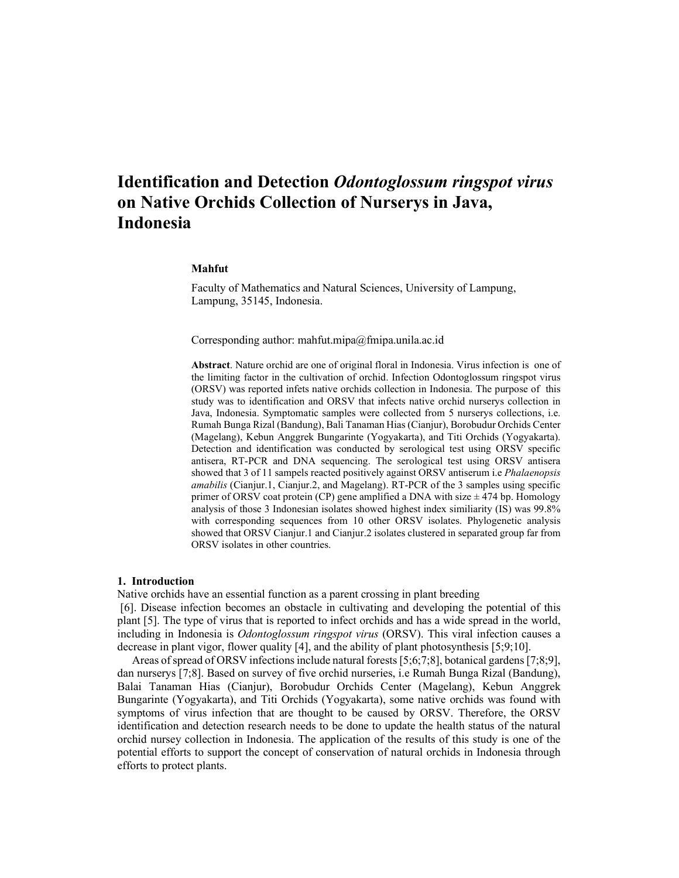# **Identification and Detection** *Odontoglossum ringspot virus* **on Native Orchids Collection of Nurserys in Java, Indonesia**

# **Mahfut**

Faculty of Mathematics and Natural Sciences, University of Lampung, Lampung, 35145, Indonesia.

Corresponding author: mahfut.mipa@fmipa.unila.ac.id

**Abstract**. Nature orchid are one of original floral in Indonesia. Virus infection is one of the limiting factor in the cultivation of orchid. Infection Odontoglossum ringspot virus (ORSV) was reported infets native orchids collection in Indonesia. The purpose of this study was to identification and ORSV that infects native orchid nurserys collection in Java, Indonesia. Symptomatic samples were collected from 5 nurserys collections, i.e. Rumah Bunga Rizal (Bandung), Bali Tanaman Hias (Cianjur), Borobudur Orchids Center (Magelang), Kebun Anggrek Bungarinte (Yogyakarta), and Titi Orchids (Yogyakarta). Detection and identification was conducted by serological test using ORSV specific antisera, RT-PCR and DNA sequencing. The serological test using ORSV antisera showed that 3 of 11 sampels reacted positively against ORSV antiserum i.e *Phalaenopsis amabilis* (Cianjur.1, Cianjur.2, and Magelang). RT-PCR of the 3 samples using specific primer of ORSV coat protein (CP) gene amplified a DNA with size  $\pm$  474 bp. Homology analysis of those 3 Indonesian isolates showed highest index similiarity (IS) was 99.8% with corresponding sequences from 10 other ORSV isolates. Phylogenetic analysis showed that ORSV Cianjur.1 and Cianjur.2 isolates clustered in separated group far from ORSV isolates in other countries.

# **1. Introduction**

Native orchids have an essential function as a parent crossing in plant breeding

[6]. Disease infection becomes an obstacle in cultivating and developing the potential of this plant [5]. The type of virus that is reported to infect orchids and has a wide spread in the world, including in Indonesia is *Odontoglossum ringspot virus* (ORSV). This viral infection causes a decrease in plant vigor, flower quality [4], and the ability of plant photosynthesis [5;9;10].

Areas of spread of ORSV infections include natural forests [5;6;7;8], botanical gardens [7;8;9], dan nurserys [7;8]. Based on survey of five orchid nurseries, i.e Rumah Bunga Rizal (Bandung), Balai Tanaman Hias (Cianjur), Borobudur Orchids Center (Magelang), Kebun Anggrek Bungarinte (Yogyakarta), and Titi Orchids (Yogyakarta), some native orchids was found with symptoms of virus infection that are thought to be caused by ORSV. Therefore, the ORSV identification and detection research needs to be done to update the health status of the natural orchid nursey collection in Indonesia. The application of the results of this study is one of the potential efforts to support the concept of conservation of natural orchids in Indonesia through efforts to protect plants.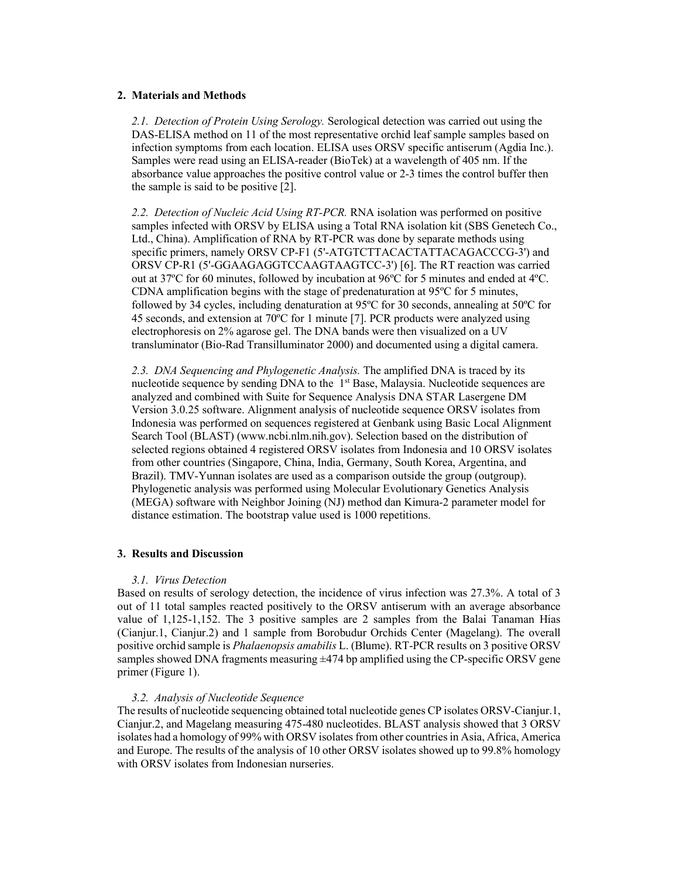### **2. Materials and Methods**

*2.1. Detection of Protein Using Serology.* Serological detection was carried out using the DAS-ELISA method on 11 of the most representative orchid leaf sample samples based on infection symptoms from each location. ELISA uses ORSV specific antiserum (Agdia Inc.). Samples were read using an ELISA-reader (BioTek) at a wavelength of 405 nm. If the absorbance value approaches the positive control value or 2-3 times the control buffer then the sample is said to be positive [2].

*2.2. Detection of Nucleic Acid Using RT-PCR.* RNA isolation was performed on positive samples infected with ORSV by ELISA using a Total RNA isolation kit (SBS Genetech Co., Ltd., China). Amplification of RNA by RT-PCR was done by separate methods using specific primers, namely ORSV CP-F1 (5'-ATGTCTTACACTATTACAGACCCG-3') and ORSV CP-R1 (5'-GGAAGAGGTCCAAGTAAGTCC-3') [6]. The RT reaction was carried out at 37ºC for 60 minutes, followed by incubation at 96ºC for 5 minutes and ended at 4ºC. CDNA amplification begins with the stage of predenaturation at 95ºC for 5 minutes, followed by 34 cycles, including denaturation at 95ºC for 30 seconds, annealing at 50ºC for 45 seconds, and extension at 70ºC for 1 minute [7]. PCR products were analyzed using electrophoresis on 2% agarose gel. The DNA bands were then visualized on a UV transluminator (Bio-Rad Transilluminator 2000) and documented using a digital camera.

*2.3. DNA Sequencing and Phylogenetic Analysis.* The amplified DNA is traced by its nucleotide sequence by sending DNA to the  $1<sup>st</sup>$  Base, Malaysia. Nucleotide sequences are analyzed and combined with Suite for Sequence Analysis DNA STAR Lasergene DM Version 3.0.25 software. Alignment analysis of nucleotide sequence ORSV isolates from Indonesia was performed on sequences registered at Genbank using Basic Local Alignment Search Tool (BLAST) (www.ncbi.nlm.nih.gov). Selection based on the distribution of selected regions obtained 4 registered ORSV isolates from Indonesia and 10 ORSV isolates from other countries (Singapore, China, India, Germany, South Korea, Argentina, and Brazil). TMV-Yunnan isolates are used as a comparison outside the group (outgroup). Phylogenetic analysis was performed using Molecular Evolutionary Genetics Analysis (MEGA) software with Neighbor Joining (NJ) method dan Kimura-2 parameter model for distance estimation. The bootstrap value used is 1000 repetitions.

# **3. Results and Discussion**

### *3.1. Virus Detection*

Based on results of serology detection, the incidence of virus infection was 27.3%. A total of 3 out of 11 total samples reacted positively to the ORSV antiserum with an average absorbance value of 1,125-1,152. The 3 positive samples are 2 samples from the Balai Tanaman Hias (Cianjur.1, Cianjur.2) and 1 sample from Borobudur Orchids Center (Magelang). The overall positive orchid sample is *Phalaenopsis amabilis* L. (Blume). RT-PCR results on 3 positive ORSV samples showed DNA fragments measuring  $\pm$ 474 bp amplified using the CP-specific ORSV gene primer (Figure 1).

# *3.2. Analysis of Nucleotide Sequence*

The results of nucleotide sequencing obtained total nucleotide genes CP isolates ORSV-Cianjur.1, Cianjur.2, and Magelang measuring 475-480 nucleotides. BLAST analysis showed that 3 ORSV isolates had a homology of 99% with ORSV isolates from other countriesin Asia, Africa, America and Europe. The results of the analysis of 10 other ORSV isolates showed up to 99.8% homology with ORSV isolates from Indonesian nurseries.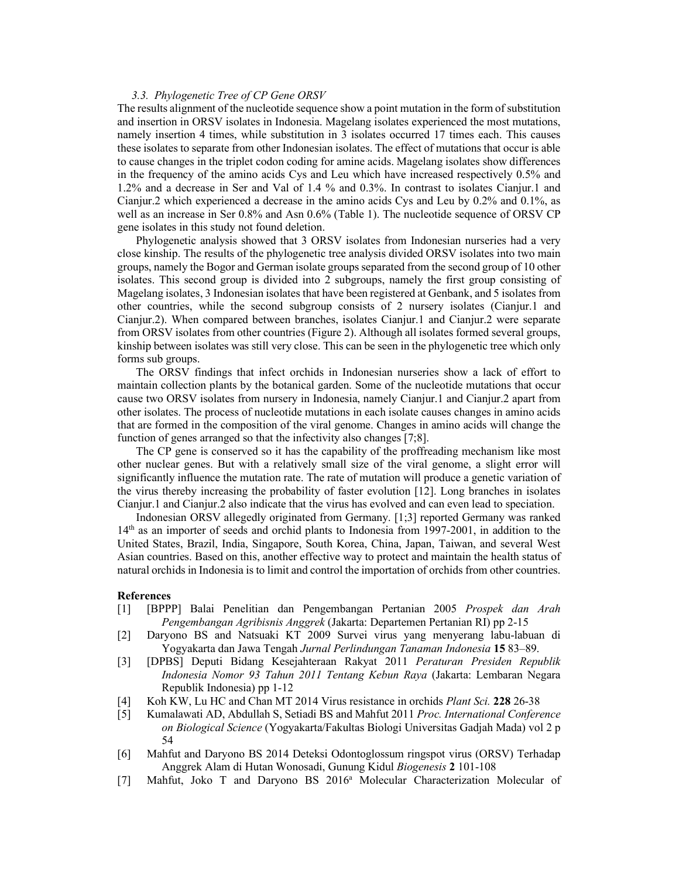#### *3.3. Phylogenetic Tree of CP Gene ORSV*

The results alignment of the nucleotide sequence show a point mutation in the form of substitution and insertion in ORSV isolates in Indonesia. Magelang isolates experienced the most mutations, namely insertion 4 times, while substitution in 3 isolates occurred 17 times each. This causes these isolates to separate from other Indonesian isolates. The effect of mutations that occur is able to cause changes in the triplet codon coding for amine acids. Magelang isolates show differences in the frequency of the amino acids Cys and Leu which have increased respectively 0.5% and 1.2% and a decrease in Ser and Val of 1.4 % and 0.3%. In contrast to isolates Cianjur.1 and Cianjur.2 which experienced a decrease in the amino acids Cys and Leu by 0.2% and 0.1%, as well as an increase in Ser 0.8% and Asn 0.6% (Table 1). The nucleotide sequence of ORSV CP gene isolates in this study not found deletion.

Phylogenetic analysis showed that 3 ORSV isolates from Indonesian nurseries had a very close kinship. The results of the phylogenetic tree analysis divided ORSV isolates into two main groups, namely the Bogor and German isolate groups separated from the second group of 10 other isolates. This second group is divided into 2 subgroups, namely the first group consisting of Magelang isolates, 3 Indonesian isolates that have been registered at Genbank, and 5 isolates from other countries, while the second subgroup consists of 2 nursery isolates (Cianjur.1 and Cianjur.2). When compared between branches, isolates Cianjur.1 and Cianjur.2 were separate from ORSV isolates from other countries (Figure 2). Although all isolates formed several groups, kinship between isolates was still very close. This can be seen in the phylogenetic tree which only forms sub groups.

The ORSV findings that infect orchids in Indonesian nurseries show a lack of effort to maintain collection plants by the botanical garden. Some of the nucleotide mutations that occur cause two ORSV isolates from nursery in Indonesia, namely Cianjur.1 and Cianjur.2 apart from other isolates. The process of nucleotide mutations in each isolate causes changes in amino acids that are formed in the composition of the viral genome. Changes in amino acids will change the function of genes arranged so that the infectivity also changes [7;8].

The CP gene is conserved so it has the capability of the proffreading mechanism like most other nuclear genes. But with a relatively small size of the viral genome, a slight error will significantly influence the mutation rate. The rate of mutation will produce a genetic variation of the virus thereby increasing the probability of faster evolution [12]. Long branches in isolates Cianjur.1 and Cianjur.2 also indicate that the virus has evolved and can even lead to speciation.

Indonesian ORSV allegedly originated from Germany. [1;3] reported Germany was ranked 14th as an importer of seeds and orchid plants to Indonesia from 1997-2001, in addition to the United States, Brazil, India, Singapore, South Korea, China, Japan, Taiwan, and several West Asian countries. Based on this, another effective way to protect and maintain the health status of natural orchids in Indonesia is to limit and control the importation of orchids from other countries.

### **References**

- [1] [BPPP] Balai Penelitian dan Pengembangan Pertanian 2005 *Prospek dan Arah Pengembangan Agribisnis Anggrek* (Jakarta: Departemen Pertanian RI) pp 2-15
- [2] Daryono BS and Natsuaki KT 2009 Survei virus yang menyerang labu-labuan di Yogyakarta dan Jawa Tengah *Jurnal Perlindungan Tanaman Indonesia* **15** 83–89.
- [3] [DPBS] Deputi Bidang Kesejahteraan Rakyat 2011 *Peraturan Presiden Republik Indonesia Nomor 93 Tahun 2011 Tentang Kebun Raya* (Jakarta: Lembaran Negara Republik Indonesia) pp 1-12
- [4] Koh KW, Lu HC and Chan MT 2014 Virus resistance in orchids *Plant Sci.* **228** 26-38
- [5] Kumalawati AD, Abdullah S, Setiadi BS and Mahfut 2011 *Proc. International Conference on Biological Science* (Yogyakarta/Fakultas Biologi Universitas Gadjah Mada) vol 2 p 54
- [6] Mahfut and Daryono BS 2014 Deteksi Odontoglossum ringspot virus (ORSV) Terhadap Anggrek Alam di Hutan Wonosadi, Gunung Kidul *Biogenesis* **2** 101-108
- [7] Mahfut, Joko T and Daryono BS 2016<sup>a</sup> Molecular Characterization Molecular of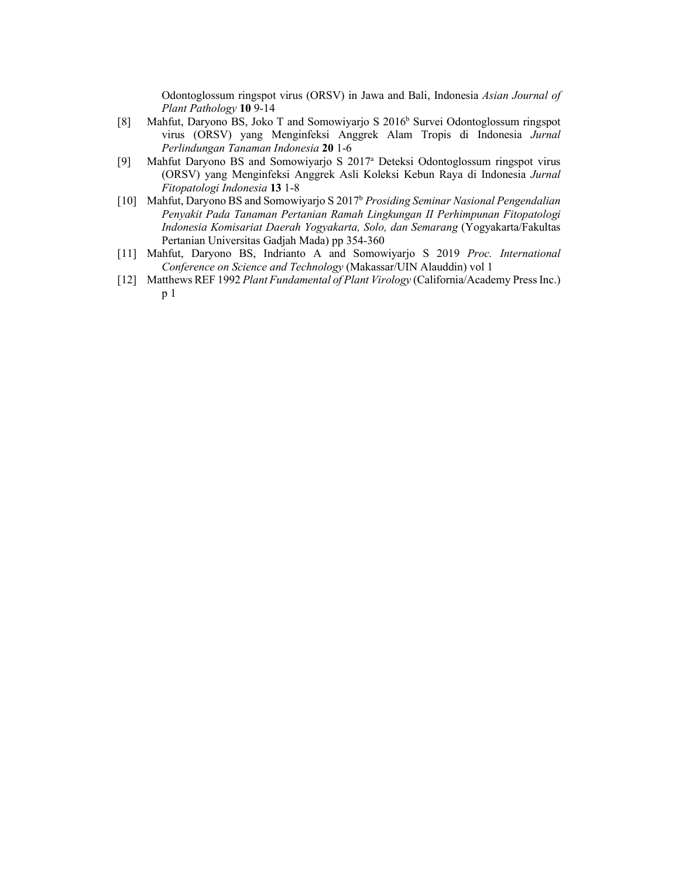Odontoglossum ringspot virus (ORSV) in Jawa and Bali, Indonesia *Asian Journal of Plant Pathology* **10** 9-14

- [8] Mahfut, Daryono BS, Joko T and Somowiyarjo S 2016<sup>b</sup> Survei Odontoglossum ringspot virus (ORSV) yang Menginfeksi Anggrek Alam Tropis di Indonesia *Jurnal Perlindungan Tanaman Indonesia* **20** 1-6
- [9] Mahfut Daryono BS and Somowiyarjo S 2017a Deteksi Odontoglossum ringspot virus (ORSV) yang Menginfeksi Anggrek Asli Koleksi Kebun Raya di Indonesia *Jurnal Fitopatologi Indonesia* **13** 1-8
- [10] Mahfut, Daryono BS and Somowiyarjo S 2017b *Prosiding Seminar Nasional Pengendalian Penyakit Pada Tanaman Pertanian Ramah Lingkungan II Perhimpunan Fitopatologi Indonesia Komisariat Daerah Yogyakarta, Solo, dan Semarang* (Yogyakarta/Fakultas Pertanian Universitas Gadjah Mada) pp 354-360
- [11] Mahfut, Daryono BS, Indrianto A and Somowiyarjo S 2019 *Proc. International Conference on Science and Technology* (Makassar/UIN Alauddin) vol 1
- [12] Matthews REF 1992 *Plant Fundamental of Plant Virology* (California/Academy Press Inc.) p 1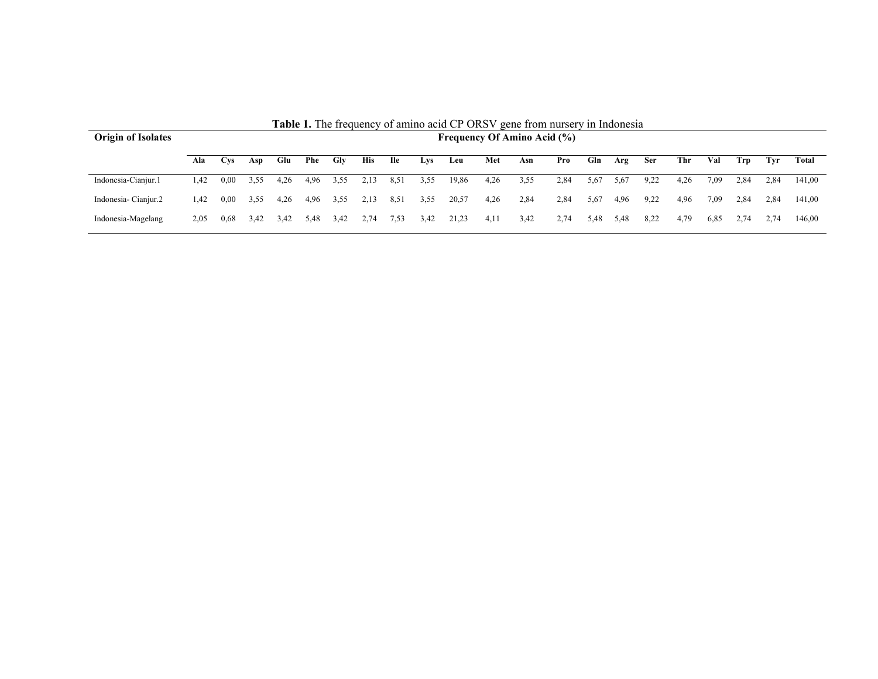| <b>Origin of Isolates</b> | <b>EXPLICITE</b> HOMOGROUPS OF ALLER ACTOR OF ORDER SCILL HOLD HUISCLY III HIGORICSIA<br><b>Frequency Of Amino Acid (%)</b> |                 |      |      |      |      |            |            |      |       |      |      |      |      |      |            |      |      |      |      |        |
|---------------------------|-----------------------------------------------------------------------------------------------------------------------------|-----------------|------|------|------|------|------------|------------|------|-------|------|------|------|------|------|------------|------|------|------|------|--------|
|                           | Ala                                                                                                                         | C <sub>VS</sub> | Asp  | Glu  | Phe  | Gly  | <b>His</b> | <b>Ile</b> | Lys  | Leu   | Met  | Asn  | Pro  | Gln  | Arg  | <b>Ser</b> | Thr  | Val  | Trp  | Tvr  | Total  |
| Indonesia-Cianjur.1       | 1.42                                                                                                                        | 0.00            | 3,55 | 4.26 | 4.96 | 3,55 | 2.13       | 8,51       | 3,55 | 19,86 | 4,26 | 3,55 | 2,84 | 5,67 | 5,67 | 9.22       | 4.26 | 7.09 | 2.84 | 2.84 | 141.00 |
| Indonesia-Cianjur.2       | 1.42                                                                                                                        | 0.00            | 3.55 | 4.26 | 4.96 | 3,55 | 2.13       | 8,51       | 3,55 | 20,57 | 4,26 | 2,84 | 2,84 | 5,67 | 4,96 | 9.22       | 4.96 | 7.09 | 2,84 | 2.84 | 141.00 |
| Indonesia-Magelang        | 2.05                                                                                                                        | 0.68            | 3.42 | 3,42 | 5.48 | 3.42 | 2.74       | 7,53       | 3,42 | 21,23 | 4,11 | 3,42 | 2,74 | 5,48 | 5,48 | 8.22       | 4.79 | 6,85 | 2.74 | 2.74 | 146,00 |

**Table 1.** The frequency of amino acid CP ORSV gene from nursery in Indonesia